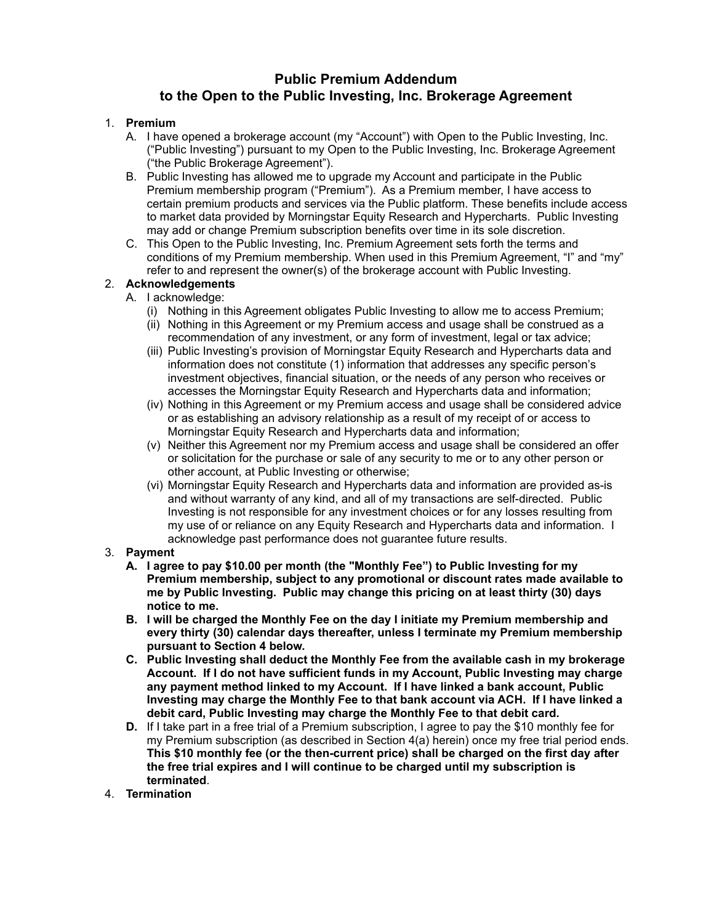## **Public Premium Addendum to the Open to the Public Investing, Inc. Brokerage Agreement**

## 1. **Premium**

- A. I have opened a brokerage account (my "Account") with Open to the Public Investing, Inc. ("Public Investing") pursuant to my Open to the Public Investing, Inc. Brokerage Agreement ("the Public Brokerage Agreement").
- B. Public Investing has allowed me to upgrade my Account and participate in the Public Premium membership program ("Premium"). As a Premium member, I have access to certain premium products and services via the Public platform. These benefits include access to market data provided by Morningstar Equity Research and Hypercharts. Public Investing may add or change Premium subscription benefits over time in its sole discretion.
- C. This Open to the Public Investing, Inc. Premium Agreement sets forth the terms and conditions of my Premium membership. When used in this Premium Agreement, "I" and "my" refer to and represent the owner(s) of the brokerage account with Public Investing.

## 2. **Acknowledgements**

- A. I acknowledge:
	- (i) Nothing in this Agreement obligates Public Investing to allow me to access Premium;
	- (ii) Nothing in this Agreement or my Premium access and usage shall be construed as a recommendation of any investment, or any form of investment, legal or tax advice;
	- (iii) Public Investing's provision of Morningstar Equity Research and Hypercharts data and information does not constitute (1) information that addresses any specific person's investment objectives, financial situation, or the needs of any person who receives or accesses the Morningstar Equity Research and Hypercharts data and information;
	- (iv) Nothing in this Agreement or my Premium access and usage shall be considered advice or as establishing an advisory relationship as a result of my receipt of or access to Morningstar Equity Research and Hypercharts data and information;
	- (v) Neither this Agreement nor my Premium access and usage shall be considered an offer or solicitation for the purchase or sale of any security to me or to any other person or other account, at Public Investing or otherwise;
	- (vi) Morningstar Equity Research and Hypercharts data and information are provided as-is and without warranty of any kind, and all of my transactions are self-directed. Public Investing is not responsible for any investment choices or for any losses resulting from my use of or reliance on any Equity Research and Hypercharts data and information. I acknowledge past performance does not guarantee future results.

## 3. **Payment**

- **A. I agree to pay \$10.00 per month (the "Monthly Fee") to Public Investing for my Premium membership, subject to any promotional or discount rates made available to me by Public Investing. Public may change this pricing on at least thirty (30) days notice to me.**
- **B. I will be charged the Monthly Fee on the day I initiate my Premium membership and every thirty (30) calendar days thereafter, unless I terminate my Premium membership pursuant to Section 4 below.**
- **C. Public Investing shall deduct the Monthly Fee from the available cash in my brokerage Account. If I do not have sufficient funds in my Account, Public Investing may charge any payment method linked to my Account. If I have linked a bank account, Public Investing may charge the Monthly Fee to that bank account via ACH. If I have linked a debit card, Public Investing may charge the Monthly Fee to that debit card.**
- **D.** If I take part in a free trial of a Premium subscription, I agree to pay the \$10 monthly fee for my Premium subscription (as described in Section 4(a) herein) once my free trial period ends. **This \$10 monthly fee (or the then-current price) shall be charged on the first day after the free trial expires and I will continue to be charged until my subscription is terminated**.
- 4. **Termination**